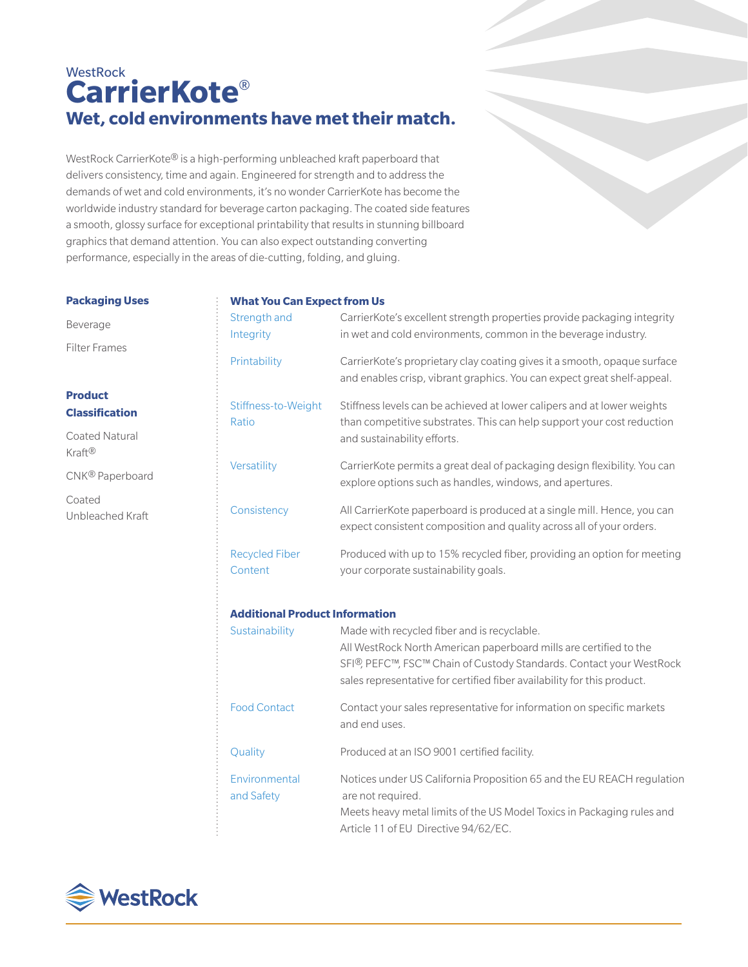# **WestRock CarrierKote**® **Wet, cold environments have met their match.**

WestRock CarrierKote® is a high-performing unbleached kraft paperboard that delivers consistency, time and again. Engineered for strength and to address the demands of wet and cold environments, it's no wonder CarrierKote has become the worldwide industry standard for beverage carton packaging. The coated side features a smooth, glossy surface for exceptional printability that results in stunning billboard graphics that demand attention. You can also expect outstanding converting performance, especially in the areas of die-cutting, folding, and gluing.

#### **Packaging Uses**

## **What You Can Expect from Us**

| Strength and<br>Integrity             | CarrierKote's excellent strength properties provide packaging integrity<br>in wet and cold environments, common in the beverage industry.                                                                                                                                                    |
|---------------------------------------|----------------------------------------------------------------------------------------------------------------------------------------------------------------------------------------------------------------------------------------------------------------------------------------------|
| Printability                          | CarrierKote's proprietary clay coating gives it a smooth, opaque surface<br>and enables crisp, vibrant graphics. You can expect great shelf-appeal.                                                                                                                                          |
| Stiffness-to-Weight<br>Ratio          | Stiffness levels can be achieved at lower calipers and at lower weights<br>than competitive substrates. This can help support your cost reduction<br>and sustainability efforts.                                                                                                             |
| Versatility                           | CarrierKote permits a great deal of packaging design flexibility. You can<br>explore options such as handles, windows, and apertures.                                                                                                                                                        |
| Consistency                           | All CarrierKote paperboard is produced at a single mill. Hence, you can<br>expect consistent composition and quality across all of your orders.                                                                                                                                              |
| <b>Recycled Fiber</b><br>Content      | Produced with up to 15% recycled fiber, providing an option for meeting<br>your corporate sustainability goals.                                                                                                                                                                              |
| <b>Additional Product Information</b> |                                                                                                                                                                                                                                                                                              |
| Sustainability                        | Made with recycled fiber and is recyclable.<br>All WestRock North American paperboard mills are certified to the<br>SFI <sup>®</sup> , PEFC <sup>™</sup> , FSC™ Chain of Custody Standards. Contact your WestRock<br>sales representative for certified fiber availability for this product. |
| <b>Food Contact</b>                   | Contact your sales representative for information on specific markets<br>and end uses.                                                                                                                                                                                                       |
| Quality                               | Produced at an ISO 9001 certified facility.                                                                                                                                                                                                                                                  |
| Environmental<br>and Safety           | Notices under US California Proposition 65 and the EU REACH regulation<br>are not required.<br>Meets heavy metal limits of the US Model Toxics in Packaging rules and                                                                                                                        |
|                                       |                                                                                                                                                                                                                                                                                              |

Article 11 of EU Directive 94/62/EC.

# Beverage

Filter Frames

## **Product Classification**

Coated Natural Kraft®

CNK® Paperboard

Coated Unbleached Kraft